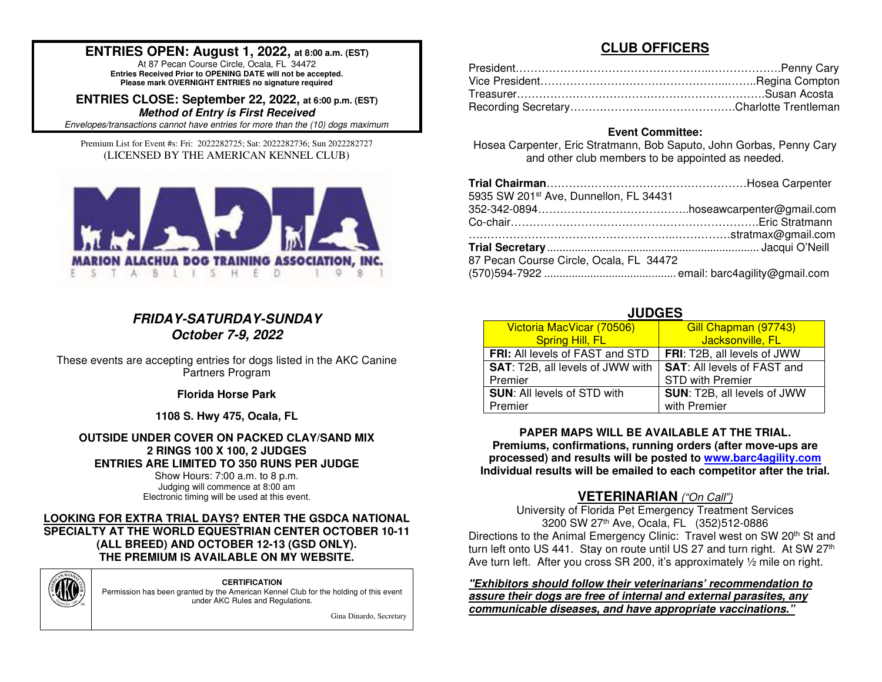### **ENTRIES OPEN: August 1, 2022, at 8:00 a.m. (EST)**

At 87 Pecan Course Circle, Ocala, FL 34472 **Entries Received Prior to OPENING DATE will not be accepted. Please mark OVERNIGHT ENTRIES no signature required**

**ENTRIES CLOSE: September 22, 2022, at 6:00 p.m. (EST)Method of Entry is First Received**

Envelopes/transactions cannot have entries for more than the (10) dogs maximum.

Premium List for Event #s: Fri: 2022282725; Sat: 2022282736; Sun 2022282727 (LICENSED BY THE AMERICAN KENNEL CLUB)



### **FRIDAY-SATURDAY-SUNDAY October 7-9, 2022**

These events are accepting entries for dogs listed in the AKC Canine Partners Program

**Florida Horse Park** 

**1108 S. Hwy 475, Ocala, FL**

### **OUTSIDE UNDER COVER ON PACKED CLAY/SAND MIX 2 RINGS 100 X 100, 2 JUDGES ENTRIES ARE LIMITED TO 350 RUNS PER JUDGE**

Show Hours: 7:00 a.m. to 8 p.m. Judging will commence at 8:00 am Electronic timing will be used at this event.

### **LOOKING FOR EXTRA TRIAL DAYS? ENTER THE GSDCA NATIONAL SPECIALTY AT THE WORLD EQUESTRIAN CENTER OCTOBER 10-11 (ALL BREED) AND OCTOBER 12-13 (GSD ONLY). THE PREMIUM IS AVAILABLE ON MY WEBSITE.**



**CERTIFICATION**  Permission has been granted by the American Kennel Club for the holding of this event under AKC Rules and Regulations.

Gina Dinardo, Secretary

### **CLUB OFFICERS**

### **Event Committee:**

 Hosea Carpenter, Eric Stratmann, Bob Saputo, John Gorbas, Penny Cary and other club members to be appointed as needed.

| 5935 SW 201st Ave, Dunnellon, FL 34431  |  |
|-----------------------------------------|--|
|                                         |  |
|                                         |  |
|                                         |  |
|                                         |  |
| 87 Pecan Course Circle, Ocala, FL 34472 |  |
|                                         |  |

### **JUDGES**

| Victoria MacVicar (70506)                                                    | Gill Chapman (97743)        |  |  |  |  |
|------------------------------------------------------------------------------|-----------------------------|--|--|--|--|
| Spring Hill, FL                                                              | Jacksonville, FL            |  |  |  |  |
| <b>FRI:</b> All levels of FAST and STD                                       | FRI: T2B, all levels of JWW |  |  |  |  |
| <b>SAT:</b> T2B, all levels of JWW with   <b>SAT:</b> All levels of FAST and |                             |  |  |  |  |
| Premier                                                                      | <b>STD with Premier</b>     |  |  |  |  |
| <b>SUN: All levels of STD with</b>                                           | SUN: T2B, all levels of JWW |  |  |  |  |
| Premier                                                                      | with Premier                |  |  |  |  |

**PAPER MAPS WILL BE AVAILABLE AT THE TRIAL. Premiums, confirmations, running orders (after move-ups are processed) and results will be posted to www.barc4agility.comIndividual results will be emailed to each competitor after the trial.** 

# **VETERINARIAN** ("On Call")

University of Florida Pet Emergency Treatment Services 3200 SW 27th Ave, Ocala, FL (352)512-0886 Directions to the Animal Emergency Clinic: Travel west on SW 20<sup>th</sup> St and turn left onto US 441. Stay on route until US 27 and turn right. At SW 27<sup>th</sup> Ave turn left. After you cross SR 200, it's approximately 1/2 mile on right.

**"Exhibitors should follow their veterinarians' recommendation to assure their dogs are free of internal and external parasites, any communicable diseases, and have appropriate vaccinations."**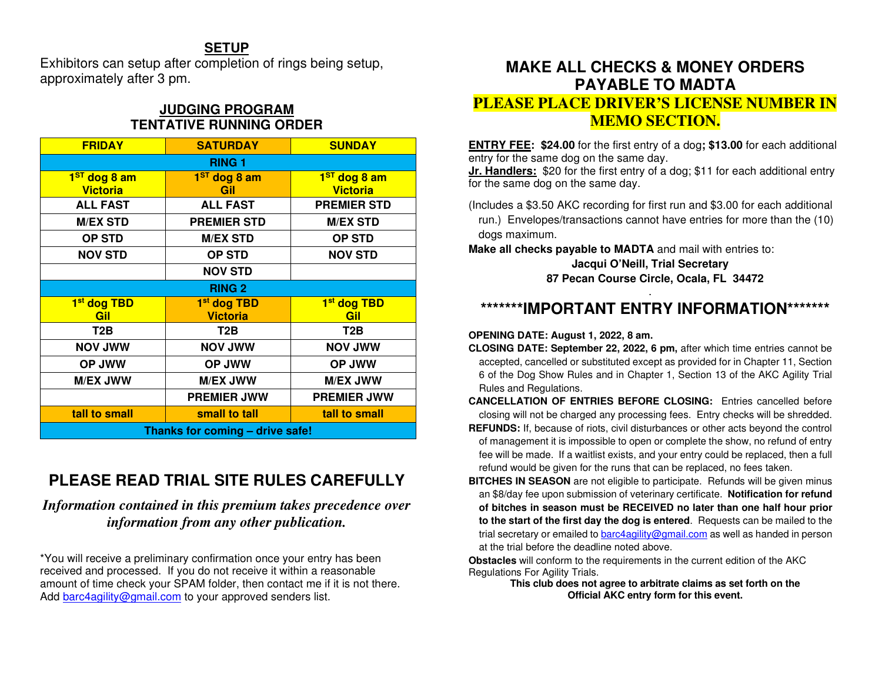### **SETUP**

 Exhibitors can setup after completion of rings being setup, approximately after 3 pm.

### **JUDGING PROGRAM TENTATIVE RUNNING ORDER**

| <b>FRIDAY</b>                   | <b>SATURDAY</b>                | <b>SUNDAY</b>           |  |  |  |  |  |
|---------------------------------|--------------------------------|-------------------------|--|--|--|--|--|
| <b>RING 1</b>                   |                                |                         |  |  |  |  |  |
| 1 <sup>ST</sup> dog 8 am        | 1 <sup>ST</sup> dog 8 am       |                         |  |  |  |  |  |
| <b>Victoria</b>                 | Gil                            | <b>Victoria</b>         |  |  |  |  |  |
| <b>ALL FAST</b>                 | <b>ALL FAST</b>                | <b>PREMIER STD</b>      |  |  |  |  |  |
| <b>M/EX STD</b>                 | <b>PREMIER STD</b>             | <b>M/EX STD</b>         |  |  |  |  |  |
| <b>OP STD</b>                   | <b>M/EX STD</b>                | <b>OP STD</b>           |  |  |  |  |  |
| <b>NOV STD</b>                  | <b>OP STD</b>                  |                         |  |  |  |  |  |
|                                 | <b>NOV STD</b>                 |                         |  |  |  |  |  |
| <b>RING 2</b>                   |                                |                         |  |  |  |  |  |
| 1 <sup>st</sup> dog TBD         | 1 <sup>st</sup> dog TBD        | 1 <sup>st</sup> dog TBD |  |  |  |  |  |
| <b>Victoria</b><br>Gil          |                                | Gil                     |  |  |  |  |  |
| T2B                             | T2B                            | T <sub>2</sub> B        |  |  |  |  |  |
| <b>NOV JWW</b>                  | <b>NOV JWW</b>                 | <b>NOV JWW</b>          |  |  |  |  |  |
| <b>OP JWW</b>                   | <b>OP JWW</b>                  | <b>OP JWW</b>           |  |  |  |  |  |
| <b>M/EX JWW</b>                 | <b>M/EX JWW</b>                | <b>M/EX JWW</b>         |  |  |  |  |  |
|                                 | <b>PREMIER JWW</b>             | <b>PREMIER JWW</b>      |  |  |  |  |  |
| tall to small                   | small to tall<br>tall to small |                         |  |  |  |  |  |
| Thanks for coming - drive safe! |                                |                         |  |  |  |  |  |

# **PLEASE READ TRIAL SITE RULES CAREFULLY**

*Information contained in this premium takes precedence over information from any other publication.*

\*You will receive a preliminary confirmation once your entry has been received and processed. If you do not receive it within a reasonable amount of time check your SPAM folder, then contact me if it is not there. Add barc4agility@gmail.com to your approved senders list.

# **MAKE ALL CHECKS & MONEY ORDERS PAYABLE TO MADTA**

### **PLEASE PLACE DRIVER'S LICENSE NUMBER IN MEMO SECTION.**

**ENTRY FEE: \$24.00** for the first entry of a dog**; \$13.00** for each additional entry for the same dog on the same day.

 **Jr. Handlers:** \$20 for the first entry of a dog; \$11 for each additional entry for the same dog on the same day.

(Includes a \$3.50 AKC recording for first run and \$3.00 for each additional

run.) Envelopes/transactions cannot have entries for more than the (10) dogs maximum.

**Make all checks payable to MADTA** and mail with entries to:

### **Jacqui O'Neill, Trial Secretary 87 Pecan Course Circle, Ocala, FL 34472**

# **\*\*\*\*\*\*\*IMPORTANT ENTRY INFORMATION\*\*\*\*\*\*\***

### **OPENING DATE: August 1, 2022, 8 am.**

**CLOSING DATE: September 22, 2022, 6 pm,** after which time entries cannot be accepted, cancelled or substituted except as provided for in Chapter 11, Section 6 of the Dog Show Rules and in Chapter 1, Section 13 of the AKC Agility Trial Rules and Regulations.

**CANCELLATION OF ENTRIES BEFORE CLOSING:** Entries cancelled before closing will not be charged any processing fees. Entry checks will be shredded.

- **REFUNDS:** If, because of riots, civil disturbances or other acts beyond the control of management it is impossible to open or complete the show, no refund of entry fee will be made. If a waitlist exists, and your entry could be replaced, then a full refund would be given for the runs that can be replaced, no fees taken.
- **BITCHES IN SEASON** are not eligible to participate. Refunds will be given minus an \$8/day fee upon submission of veterinary certificate. **Notification for refund of bitches in season must be RECEIVED no later than one half hour prior to the start of the first day the dog is entered**. Requests can be mailed to the trial secretary or emailed to **barc4agility@gmail.com** as well as handed in person at the trial before the deadline noted above.

 **Obstacles** will conform to the requirements in the current edition of the AKC Regulations For Agility Trials.

 **This club does not agree to arbitrate claims as set forth on the Official AKC entry form for this event.**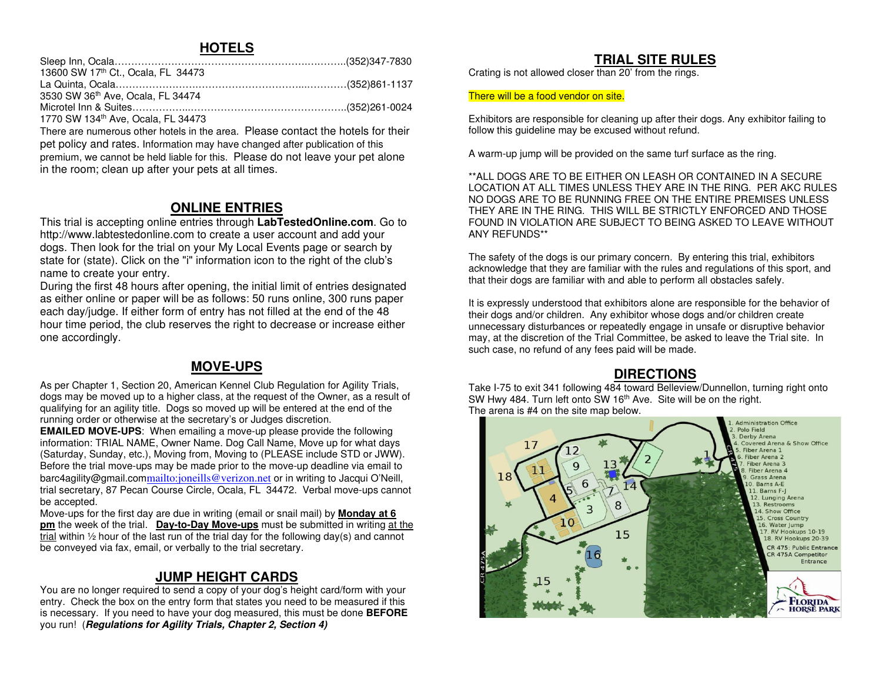### **HOTELS**

| 13600 SW 17th Ct., Ocala, FL 34473 |  |
|------------------------------------|--|
|                                    |  |
| 3530 SW 36th Ave, Ocala, FL 34474  |  |
|                                    |  |
| 1770 SW 134th Ave, Ocala, FL 34473 |  |

 There are numerous other hotels in the area. Please contact the hotels for their pet policy and rates. Information may have changed after publication of this premium, we cannot be held liable for this. Please do not leave your pet alone in the room; clean up after your pets at all times.

### **ONLINE ENTRIES**

 This trial is accepting online entries through **LabTestedOnline.com**. Go to http://www.labtestedonline.com to create a user account and add your dogs. Then look for the trial on your My Local Events page or search by state for (state). Click on the "i" information icon to the right of the club's name to create your entry.

 During the first 48 hours after opening, the initial limit of entries designated as either online or paper will be as follows: 50 runs online, 300 runs paper each day/judge. If either form of entry has not filled at the end of the 48 hour time period, the club reserves the right to decrease or increase either one accordingly.

# **MOVE-UPS**

As per Chapter 1, Section 20, American Kennel Club Regulation for Agility Trials, dogs may be moved up to a higher class, at the request of the Owner, as a result of qualifying for an agility title. Dogs so moved up will be entered at the end of the running order or otherwise at the secretary's or Judges discretion.

 **EMAILED MOVE-UPS**: When emailing a move-up please provide the following information: TRIAL NAME, Owner Name. Dog Call Name, Move up for what days (Saturday, Sunday, etc.), Moving from, Moving to (PLEASE include STD or JWW). Before the trial move-ups may be made prior to the move-up deadline via email to barc4agility@gmail.com<u>mailto:joneills@verizon.net</u> or in writing to Jacqui O'Neill, trial secretary, 87 Pecan Course Circle, Ocala, FL 34472. Verbal move-ups cannot be accepted.

 Move-ups for the first day are due in writing (email or snail mail) by **Monday at 6 pm** the week of the trial. **Day-to-Day Move-ups** must be submitted in writing at the  $\frac{1}{2}$  within  $\frac{1}{2}$  hour of the last run of the trial day for the following day(s) and cannot be conveyed via fax, email, or verbally to the trial secretary.

# **JUMP HEIGHT CARDS**

 You are no longer required to send a copy of your dog's height card/form with your entry. Check the box on the entry form that states you need to be measured if this is necessary. If you need to have your dog measured, this must be done **BEFORE**you run! (**Regulations for Agility Trials, Chapter 2, Section 4)** 

### **TRIAL SITE RULES**

Crating is not allowed closer than 20' from the rings.

### There will be a food vendor on site.

Exhibitors are responsible for cleaning up after their dogs. Any exhibitor failing to follow this guideline may be excused without refund.

A warm-up jump will be provided on the same turf surface as the ring.

\*\*ALL DOGS ARE TO BE EITHER ON LEASH OR CONTAINED IN A SECURE LOCATION AT ALL TIMES UNLESS THEY ARE IN THE RING. PER AKC RULES NO DOGS ARE TO BE RUNNING FREE ON THE ENTIRE PREMISES UNLESS THEY ARE IN THE RING. THIS WILL BE STRICTLY ENFORCED AND THOSE FOUND IN VIOLATION ARE SUBJECT TO BEING ASKED TO LEAVE WITHOUT ANY REFUNDS\*\*

The safety of the dogs is our primary concern. By entering this trial, exhibitors acknowledge that they are familiar with the rules and regulations of this sport, and that their dogs are familiar with and able to perform all obstacles safely.

It is expressly understood that exhibitors alone are responsible for the behavior of their dogs and/or children. Any exhibitor whose dogs and/or children create unnecessary disturbances or repeatedly engage in unsafe or disruptive behavior may, at the discretion of the Trial Committee, be asked to leave the Trial site. In such case, no refund of any fees paid will be made.

# **DIRECTIONS**

 Take I-75 to exit 341 following 484 toward Belleview/Dunnellon, turning right onto SW Hwy 484. Turn left onto SW 16<sup>th</sup> Ave. Site will be on the right. The arena is #4 on the site map below.

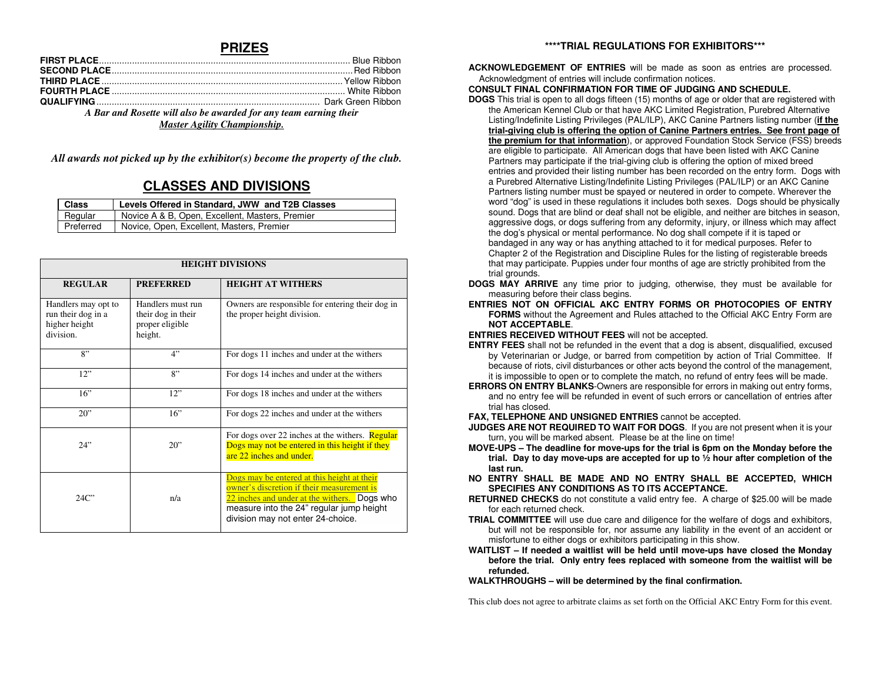### **PRIZES**

| A Bar and Rosette will also be awarded for any team earning their |  |  |  |  |  |
|-------------------------------------------------------------------|--|--|--|--|--|
| $M_{\rm{out}}$ $A_{\rm{out}}$ $M_{\rm{in}}$ $C1$ $\ldots$ $C1$    |  |  |  |  |  |

*Master Agility Championship.* 

*All awards not picked up by the exhibitor(s) become the property of the club.* 

### **CLASSES AND DIVISIONS**

| Class     | Levels Offered in Standard, JWW and T2B Classes |
|-----------|-------------------------------------------------|
| Regular   | Novice A & B, Open, Excellent, Masters, Premier |
| Preferred | Novice, Open, Excellent, Masters, Premier       |

| <b>HEIGHT DIVISIONS</b>                                                 |                                                                       |                                                                                                                                                                                                                            |  |  |  |  |  |  |
|-------------------------------------------------------------------------|-----------------------------------------------------------------------|----------------------------------------------------------------------------------------------------------------------------------------------------------------------------------------------------------------------------|--|--|--|--|--|--|
| <b>REGULAR</b>                                                          | <b>PREFERRED</b>                                                      | <b>HEIGHT AT WITHERS</b>                                                                                                                                                                                                   |  |  |  |  |  |  |
| Handlers may opt to<br>run their dog in a<br>higher height<br>division. | Handlers must run<br>their dog in their<br>proper eligible<br>height. | Owners are responsible for entering their dog in<br>the proper height division.                                                                                                                                            |  |  |  |  |  |  |
| 8"                                                                      | 4"                                                                    | For dogs 11 inches and under at the withers                                                                                                                                                                                |  |  |  |  |  |  |
| 12"                                                                     | 8"                                                                    | For dogs 14 inches and under at the withers                                                                                                                                                                                |  |  |  |  |  |  |
| 16"                                                                     | 12"                                                                   | For dogs 18 inches and under at the withers                                                                                                                                                                                |  |  |  |  |  |  |
| 20"                                                                     | 16"                                                                   | For dogs 22 inches and under at the withers                                                                                                                                                                                |  |  |  |  |  |  |
| 24"                                                                     | $20$ "                                                                | For dogs over 22 inches at the withers. <b>Regular</b><br>Dogs may not be entered in this height if they<br>are 22 inches and under.                                                                                       |  |  |  |  |  |  |
| 24C                                                                     | n/a                                                                   | Dogs may be entered at this height at their<br>owner's discretion if their measurement is<br>22 inches and under at the withers. Dogs who<br>measure into the 24" regular jump height<br>division may not enter 24-choice. |  |  |  |  |  |  |

#### **\*\*\*\*TRIAL REGULATIONS FOR EXHIBITORS\*\*\***

**ACKNOWLEDGEMENT OF ENTRIES** will be made as soon as entries are processed. Acknowledgment of entries will include confirmation notices.

#### **CONSULT FINAL CONFIRMATION FOR TIME OF JUDGING AND SCHEDULE.**

 **DOGS** This trial is open to all dogs fifteen (15) months of age or older that are registered with the American Kennel Club or that have AKC Limited Registration, Purebred Alternative Listing/Indefinite Listing Privileges (PAL/ILP), AKC Canine Partners listing number (**if the trial-giving club is offering the option of Canine Partners entries. See front page of the premium for that information**), or approved Foundation Stock Service (FSS) breedsare eligible to participate. All American dogs that have been listed with AKC Canine Partners may participate if the trial-giving club is offering the option of mixed breed entries and provided their listing number has been recorded on the entry form. Dogs with a Purebred Alternative Listing/Indefinite Listing Privileges (PAL/ILP) or an AKC Canine Partners listing number must be spayed or neutered in order to compete. Wherever the word "dog" is used in these regulations it includes both sexes. Dogs should be physically sound. Dogs that are blind or deaf shall not be eligible, and neither are bitches in season, aggressive dogs, or dogs suffering from any deformity, injury, or illness which may affect the dog's physical or mental performance. No dog shall compete if it is taped or bandaged in any way or has anything attached to it for medical purposes. Refer to Chapter 2 of the Registration and Discipline Rules for the listing of registerable breeds that may participate. Puppies under four months of age are strictly prohibited from the trial grounds.

- **DOGS MAY ARRIVE** any time prior to judging, otherwise, they must be available for measuring before their class begins.
- **ENTRIES NOT ON OFFICIAL AKC ENTRY FORMS OR PHOTOCOPIES OF ENTRY FORMS** without the Agreement and Rules attached to the Official AKC Entry Form are **NOT ACCEPTABLE**.

**ENTRIES RECEIVED WITHOUT FEES** will not be accepted.

- **ENTRY FEES** shall not be refunded in the event that a dog is absent, disqualified, excused by Veterinarian or Judge, or barred from competition by action of Trial Committee. If because of riots, civil disturbances or other acts beyond the control of the management, it is impossible to open or to complete the match, no refund of entry fees will be made.
- **ERRORS ON ENTRY BLANKS**-Owners are responsible for errors in making out entry forms, and no entry fee will be refunded in event of such errors or cancellation of entries after trial has closed.

**FAX, TELEPHONE AND UNSIGNED ENTRIES** cannot be accepted.

- **JUDGES ARE NOT REQUIRED TO WAIT FOR DOGS**. If you are not present when it is your turn, you will be marked absent. Please be at the line on time!
- **MOVE-UPS The deadline for move-ups for the trial is 6pm on the Monday before the trial. Day to day move-ups are accepted for up to ½ hour after completion of the last run.**
- **NO ENTRY SHALL BE MADE AND NO ENTRY SHALL BE ACCEPTED, WHICH SPECIFIES ANY CONDITIONS AS TO ITS ACCEPTANCE.**
- **RETURNED CHECKS** do not constitute a valid entry fee. A charge of \$25.00 will be made for each returned check.
- **TRIAL COMMITTEE** will use due care and diligence for the welfare of dogs and exhibitors, but will not be responsible for, nor assume any liability in the event of an accident or misfortune to either dogs or exhibitors participating in this show.
- **WAITLIST If needed a waitlist will be held until move-ups have closed the Monday before the trial. Only entry fees replaced with someone from the waitlist will be refunded.**

**WALKTHROUGHS – will be determined by the final confirmation.** 

This club does not agree to arbitrate claims as set forth on the Official AKC Entry Form for this event.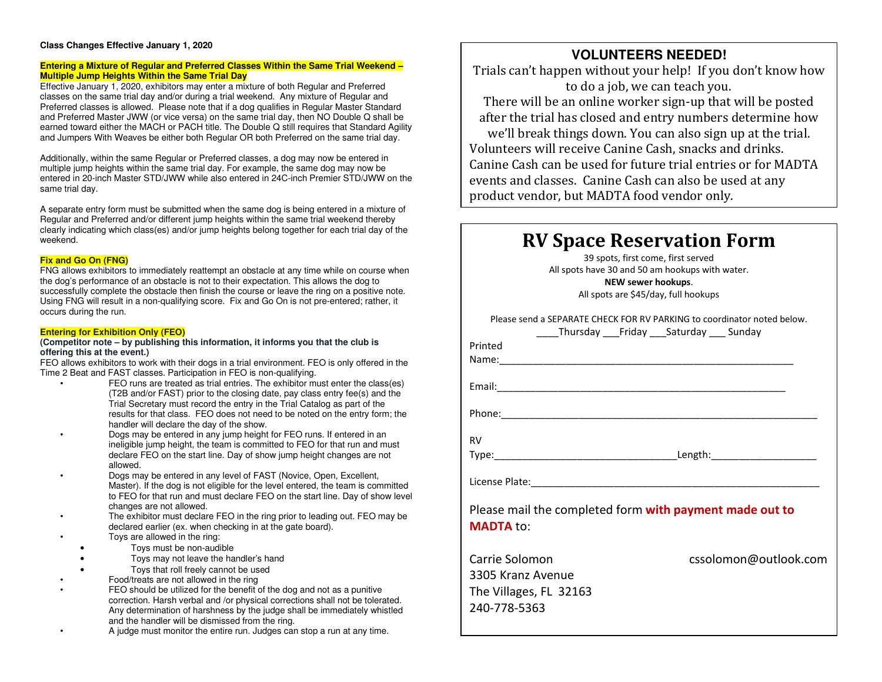#### **Class Changes Effective January 1, 2020**

#### **Entering a Mixture of Regular and Preferred Classes Within the Same Trial Weekend – Multiple Jump Heights Within the Same Trial Day**

 Effective January 1, 2020, exhibitors may enter a mixture of both Regular and Preferred classes on the same trial day and/or during a trial weekend. Any mixture of Regular and Preferred classes is allowed. Please note that if a dog qualifies in Regular Master Standard and Preferred Master JWW (or vice versa) on the same trial day, then NO Double Q shall be earned toward either the MACH or PACH title. The Double Q still requires that Standard Agility and Jumpers With Weaves be either both Regular OR both Preferred on the same trial day.

Additionally, within the same Regular or Preferred classes, a dog may now be entered in multiple jump heights within the same trial day. For example, the same dog may now be entered in 20-inch Master STD/JWW while also entered in 24C-inch Premier STD/JWW on the same trial day.

A separate entry form must be submitted when the same dog is being entered in a mixture of Regular and Preferred and/or different jump heights within the same trial weekend thereby clearly indicating which class(es) and/or jump heights belong together for each trial day of the weekend.

#### **Fix and Go On (FNG)**

 FNG allows exhibitors to immediately reattempt an obstacle at any time while on course when the dog's performance of an obstacle is not to their expectation. This allows the dog to successfully complete the obstacle then finish the course or leave the ring on a positive note. Using FNG will result in a non-qualifying score. Fix and Go On is not pre-entered; rather, it occurs during the run.

#### **Entering for Exhibition Only (FEO)**

#### **(Competitor note – by publishing this information, it informs you that the club is offering this at the event.)**

 FEO allows exhibitors to work with their dogs in a trial environment. FEO is only offered in the Time 2 Beat and FAST classes. Participation in FEO is non-qualifying.

- FEO runs are treated as trial entries. The exhibitor must enter the class(es) (T2B and/or FAST) prior to the closing date, pay class entry fee(s) and the Trial Secretary must record the entry in the Trial Catalog as part of the results for that class. FEO does not need to be noted on the entry form; the handler will declare the day of the show.
- Dogs may be entered in any jump height for FEO runs. If entered in an ineligible jump height, the team is committed to FEO for that run and must declare FEO on the start line. Day of show jump height changes are not allowed.
- Dogs may be entered in any level of FAST (Novice, Open, Excellent, Master). If the dog is not eligible for the level entered, the team is committed to FEO for that run and must declare FEO on the start line. Day of show level changes are not allowed.
- The exhibitor must declare FEO in the ring prior to leading out. FEO may be declared earlier (ex. when checking in at the gate board).
- Toys are allowed in the ring:
	- Toys must be non-audible
- Toys may not leave the handler's hand
	- Toys that roll freely cannot be used
- Food/treats are not allowed in the ring
- FEO should be utilized for the benefit of the dog and not as a punitive correction. Harsh verbal and /or physical corrections shall not be tolerated. Any determination of harshness by the judge shall be immediately whistled and the handler will be dismissed from the ring.
- A judge must monitor the entire run. Judges can stop a run at any time.

# **VOLUNTEERS NEEDED!**

 Trials can't happen without your help! If you don't know how to do a job, we can teach you.

 There will be an online worker sign-up that will be posted after the trial has closed and entry numbers determine how we'll break things down. You can also sign up at the trial. Volunteers will receive Canine Cash, snacks and drinks. Canine Cash can be used for future trial entries or for MADTA events and classes. Canine Cash can also be used at any product vendor, but MADTA food vendor only.

# **RV Space Reservation Form**

39 spots, first come, first served All spots have 30 and 50 am hookups with water.

**NEW sewer hookups**. All spots are \$45/day, full hookups

Please send a SEPARATE CHECK FOR RV PARKING to coordinator noted below.

|                        | Thursday Friday Saturday Sunday                         |  |                       |
|------------------------|---------------------------------------------------------|--|-----------------------|
| Printed                |                                                         |  |                       |
|                        |                                                         |  |                       |
|                        |                                                         |  |                       |
|                        |                                                         |  |                       |
|                        |                                                         |  |                       |
|                        |                                                         |  |                       |
|                        |                                                         |  |                       |
| <b>RV</b>              |                                                         |  |                       |
|                        |                                                         |  |                       |
|                        |                                                         |  |                       |
|                        |                                                         |  |                       |
|                        |                                                         |  |                       |
|                        | Please mail the completed form with payment made out to |  |                       |
| <b>MADTA to:</b>       |                                                         |  |                       |
|                        |                                                         |  |                       |
| Carrie Solomon         |                                                         |  | cssolomon@outlook.com |
| 3305 Kranz Avenue      |                                                         |  |                       |
|                        |                                                         |  |                       |
| The Villages, FL 32163 |                                                         |  |                       |

240-778-5363